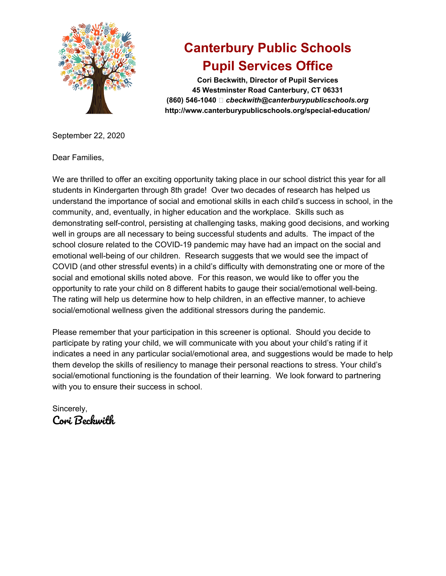

## **Canterbury Public Schools Pupil Services Office**

**Cori Beckwith, Director of Pupil Services 45 Westminster Road Canterbury, CT 06331 (860) 546-1040** *cbeckwith@canterburypublicschools.org* **http://www.canterburypublicschools.org/special-education/**

September 22, 2020

Dear Families,

We are thrilled to offer an exciting opportunity taking place in our school district this year for all students in Kindergarten through 8th grade! Over two decades of research has helped us understand the importance of social and emotional skills in each child's success in school, in the community, and, eventually, in higher education and the workplace. Skills such as demonstrating self-control, persisting at challenging tasks, making good decisions, and working well in groups are all necessary to being successful students and adults. The impact of the school closure related to the COVID-19 pandemic may have had an impact on the social and emotional well-being of our children. Research suggests that we would see the impact of COVID (and other stressful events) in a child's difficulty with demonstrating one or more of the social and emotional skills noted above. For this reason, we would like to offer you the opportunity to rate your child on 8 different habits to gauge their social/emotional well-being. The rating will help us determine how to help children, in an effective manner, to achieve social/emotional wellness given the additional stressors during the pandemic.

Please remember that your participation in this screener is optional. Should you decide to participate by rating your child, we will communicate with you about your child's rating if it indicates a need in any particular social/emotional area, and suggestions would be made to help them develop the skills of resiliency to manage their personal reactions to stress. Your child's social/emotional functioning is the foundation of their learning. We look forward to partnering with you to ensure their success in school.

Sincerely, Cori Beckwith